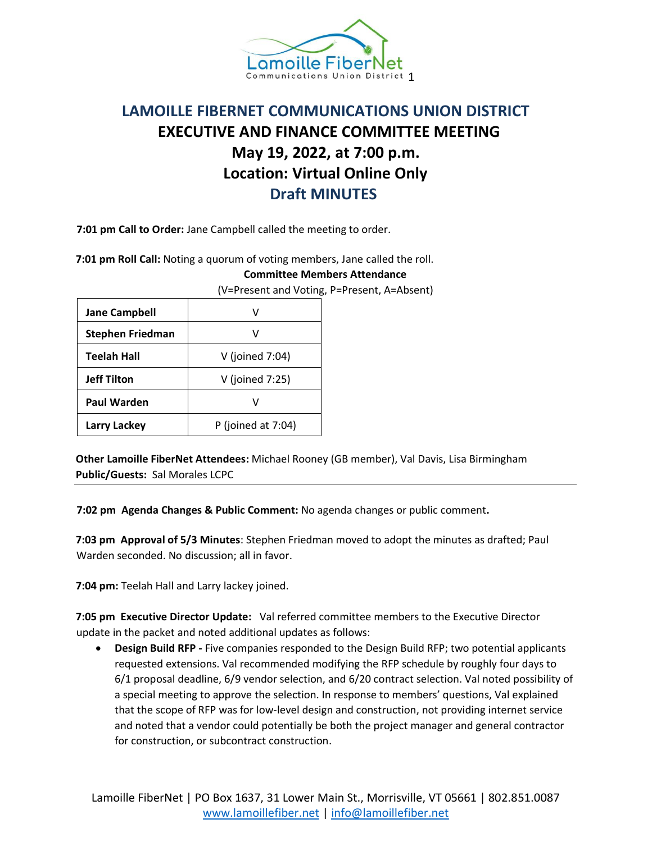

## **LAMOILLE FIBERNET COMMUNICATIONS UNION DISTRICT EXECUTIVE AND FINANCE COMMITTEE MEETING May 19, 2022, at 7:00 p.m. Location: Virtual Online Only Draft MINUTES**

**7:01 pm Call to Order:** Jane Campbell called the meeting to order.

**7:01 pm Roll Call:** Noting a quorum of voting members, Jane called the roll.

## **Committee Members Attendance**

(V=Present and Voting, P=Present, A=Absent)

| <b>Jane Campbell</b>    | v                  |
|-------------------------|--------------------|
| <b>Stephen Friedman</b> |                    |
| <b>Teelah Hall</b>      | V (joined 7:04)    |
| <b>Jeff Tilton</b>      | V (joined 7:25)    |
| <b>Paul Warden</b>      |                    |
| <b>Larry Lackey</b>     | P (joined at 7:04) |

**Other Lamoille FiberNet Attendees:** Michael Rooney (GB member), Val Davis, Lisa Birmingham **Public/Guests:** Sal Morales LCPC

**7:02 pm Agenda Changes & Public Comment:** No agenda changes or public comment**.**

**7:03 pm Approval of 5/3 Minutes**: Stephen Friedman moved to adopt the minutes as drafted; Paul Warden seconded. No discussion; all in favor.

**7:04 pm:** Teelah Hall and Larry lackey joined.

**7:05 pm Executive Director Update:** Val referred committee members to the Executive Director update in the packet and noted additional updates as follows:

• **Design Build RFP -** Five companies responded to the Design Build RFP; two potential applicants requested extensions. Val recommended modifying the RFP schedule by roughly four days to 6/1 proposal deadline, 6/9 vendor selection, and 6/20 contract selection. Val noted possibility of a special meeting to approve the selection. In response to members' questions, Val explained that the scope of RFP was for low-level design and construction, not providing internet service and noted that a vendor could potentially be both the project manager and general contractor for construction, or subcontract construction.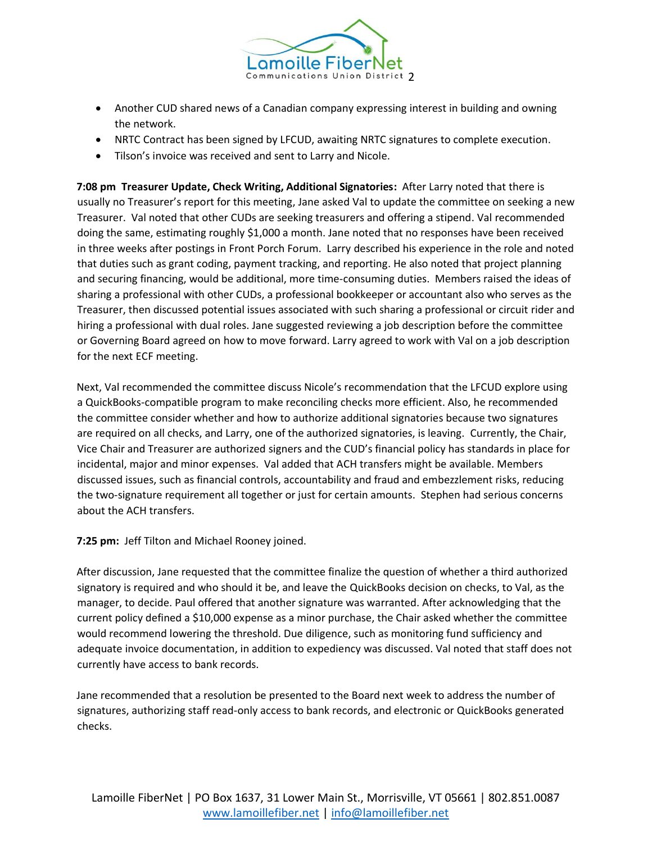

- Another CUD shared news of a Canadian company expressing interest in building and owning the network.
- NRTC Contract has been signed by LFCUD, awaiting NRTC signatures to complete execution.
- Tilson's invoice was received and sent to Larry and Nicole.

**7:08 pm Treasurer Update, Check Writing, Additional Signatories:** After Larry noted that there is usually no Treasurer's report for this meeting, Jane asked Val to update the committee on seeking a new Treasurer. Val noted that other CUDs are seeking treasurers and offering a stipend. Val recommended doing the same, estimating roughly \$1,000 a month. Jane noted that no responses have been received in three weeks after postings in Front Porch Forum. Larry described his experience in the role and noted that duties such as grant coding, payment tracking, and reporting. He also noted that project planning and securing financing, would be additional, more time-consuming duties. Members raised the ideas of sharing a professional with other CUDs, a professional bookkeeper or accountant also who serves as the Treasurer, then discussed potential issues associated with such sharing a professional or circuit rider and hiring a professional with dual roles. Jane suggested reviewing a job description before the committee or Governing Board agreed on how to move forward. Larry agreed to work with Val on a job description for the next ECF meeting.

Next, Val recommended the committee discuss Nicole's recommendation that the LFCUD explore using a QuickBooks-compatible program to make reconciling checks more efficient. Also, he recommended the committee consider whether and how to authorize additional signatories because two signatures are required on all checks, and Larry, one of the authorized signatories, is leaving. Currently, the Chair, Vice Chair and Treasurer are authorized signers and the CUD's financial policy has standards in place for incidental, major and minor expenses. Val added that ACH transfers might be available. Members discussed issues, such as financial controls, accountability and fraud and embezzlement risks, reducing the two-signature requirement all together or just for certain amounts. Stephen had serious concerns about the ACH transfers.

**7:25 pm:** Jeff Tilton and Michael Rooney joined.

After discussion, Jane requested that the committee finalize the question of whether a third authorized signatory is required and who should it be, and leave the QuickBooks decision on checks, to Val, as the manager, to decide. Paul offered that another signature was warranted. After acknowledging that the current policy defined a \$10,000 expense as a minor purchase, the Chair asked whether the committee would recommend lowering the threshold. Due diligence, such as monitoring fund sufficiency and adequate invoice documentation, in addition to expediency was discussed. Val noted that staff does not currently have access to bank records.

Jane recommended that a resolution be presented to the Board next week to address the number of signatures, authorizing staff read-only access to bank records, and electronic or QuickBooks generated checks.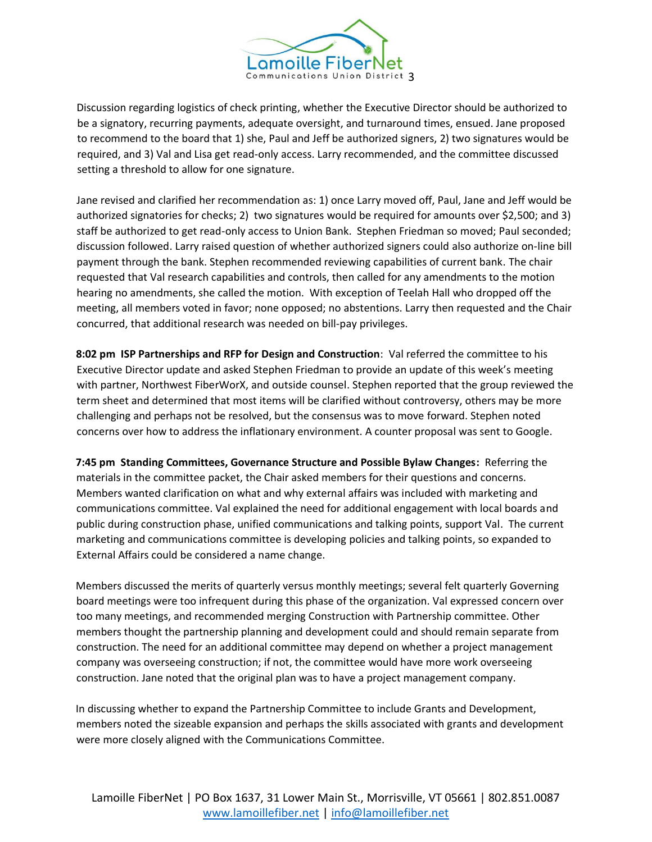

Discussion regarding logistics of check printing, whether the Executive Director should be authorized to be a signatory, recurring payments, adequate oversight, and turnaround times, ensued. Jane proposed to recommend to the board that 1) she, Paul and Jeff be authorized signers, 2) two signatures would be required, and 3) Val and Lisa get read-only access. Larry recommended, and the committee discussed setting a threshold to allow for one signature.

Jane revised and clarified her recommendation as: 1) once Larry moved off, Paul, Jane and Jeff would be authorized signatories for checks; 2) two signatures would be required for amounts over \$2,500; and 3) staff be authorized to get read-only access to Union Bank. Stephen Friedman so moved; Paul seconded; discussion followed. Larry raised question of whether authorized signers could also authorize on-line bill payment through the bank. Stephen recommended reviewing capabilities of current bank. The chair requested that Val research capabilities and controls, then called for any amendments to the motion hearing no amendments, she called the motion. With exception of Teelah Hall who dropped off the meeting, all members voted in favor; none opposed; no abstentions. Larry then requested and the Chair concurred, that additional research was needed on bill-pay privileges.

**8:02 pm ISP Partnerships and RFP for Design and Construction**: Val referred the committee to his Executive Director update and asked Stephen Friedman to provide an update of this week's meeting with partner, Northwest FiberWorX, and outside counsel. Stephen reported that the group reviewed the term sheet and determined that most items will be clarified without controversy, others may be more challenging and perhaps not be resolved, but the consensus was to move forward. Stephen noted concerns over how to address the inflationary environment. A counter proposal was sent to Google.

**7:45 pm Standing Committees, Governance Structure and Possible Bylaw Changes:** Referring the materials in the committee packet, the Chair asked members for their questions and concerns. Members wanted clarification on what and why external affairs was included with marketing and communications committee. Val explained the need for additional engagement with local boards and public during construction phase, unified communications and talking points, support Val. The current marketing and communications committee is developing policies and talking points, so expanded to External Affairs could be considered a name change.

Members discussed the merits of quarterly versus monthly meetings; several felt quarterly Governing board meetings were too infrequent during this phase of the organization. Val expressed concern over too many meetings, and recommended merging Construction with Partnership committee. Other members thought the partnership planning and development could and should remain separate from construction. The need for an additional committee may depend on whether a project management company was overseeing construction; if not, the committee would have more work overseeing construction. Jane noted that the original plan was to have a project management company.

In discussing whether to expand the Partnership Committee to include Grants and Development, members noted the sizeable expansion and perhaps the skills associated with grants and development were more closely aligned with the Communications Committee.